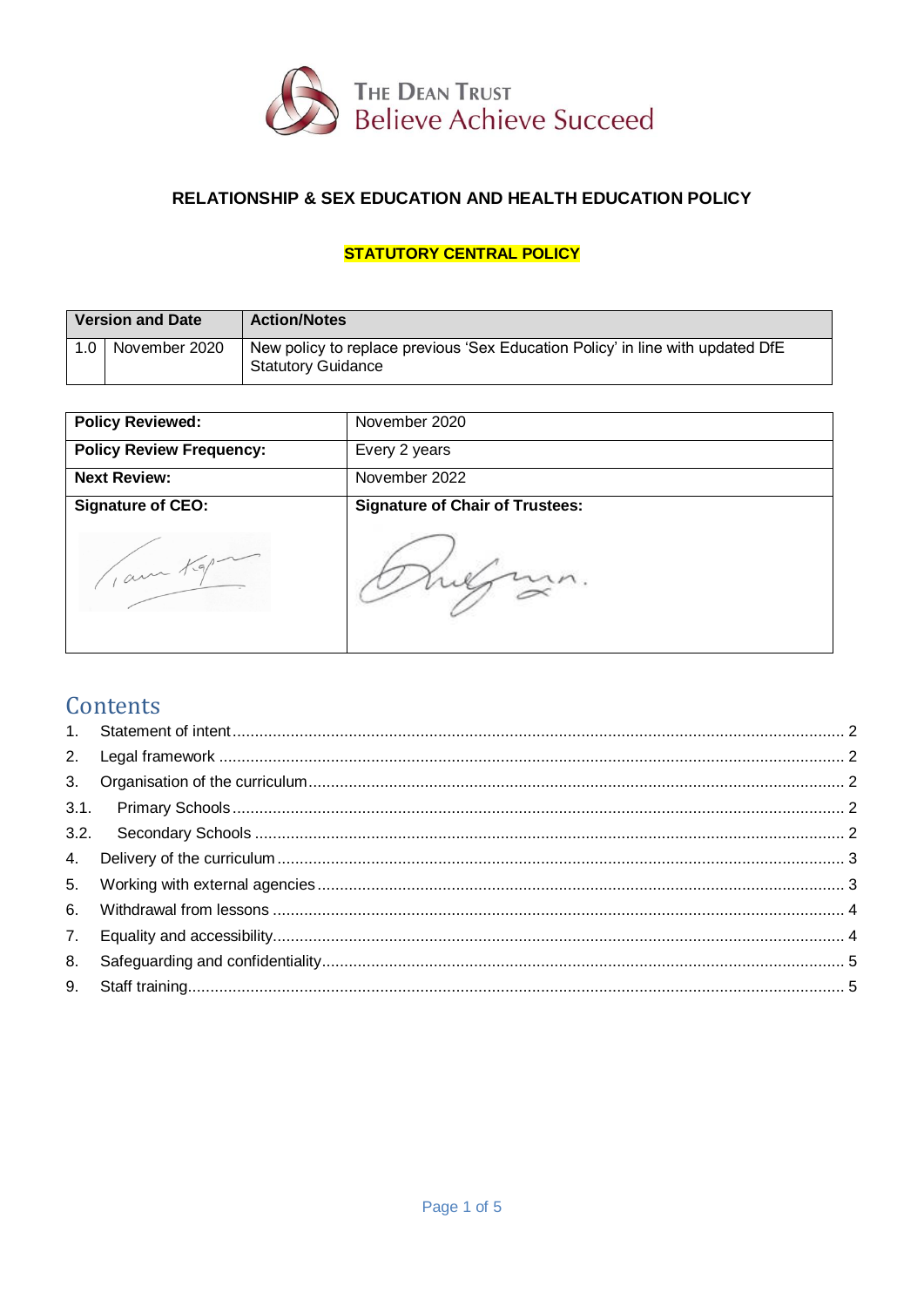

# RELATIONSHIP & SEX EDUCATION AND HEALTH EDUCATION POLICY

# **STATUTORY CENTRAL POLICY**

| <b>Version and Date</b> |               | <b>Action/Notes</b>                                                                                         |
|-------------------------|---------------|-------------------------------------------------------------------------------------------------------------|
| 1.0 <sub>1</sub>        | November 2020 | New policy to replace previous 'Sex Education Policy' in line with updated DfE<br><b>Statutory Guidance</b> |

| <b>Policy Reviewed:</b>             | November 2020                          |
|-------------------------------------|----------------------------------------|
| <b>Policy Review Frequency:</b>     | Every 2 years                          |
| <b>Next Review:</b>                 | November 2022                          |
| <b>Signature of CEO:</b><br>1 am Kg | <b>Signature of Chair of Trustees:</b> |

# Contents

| 8. |  |
|----|--|
|    |  |
|    |  |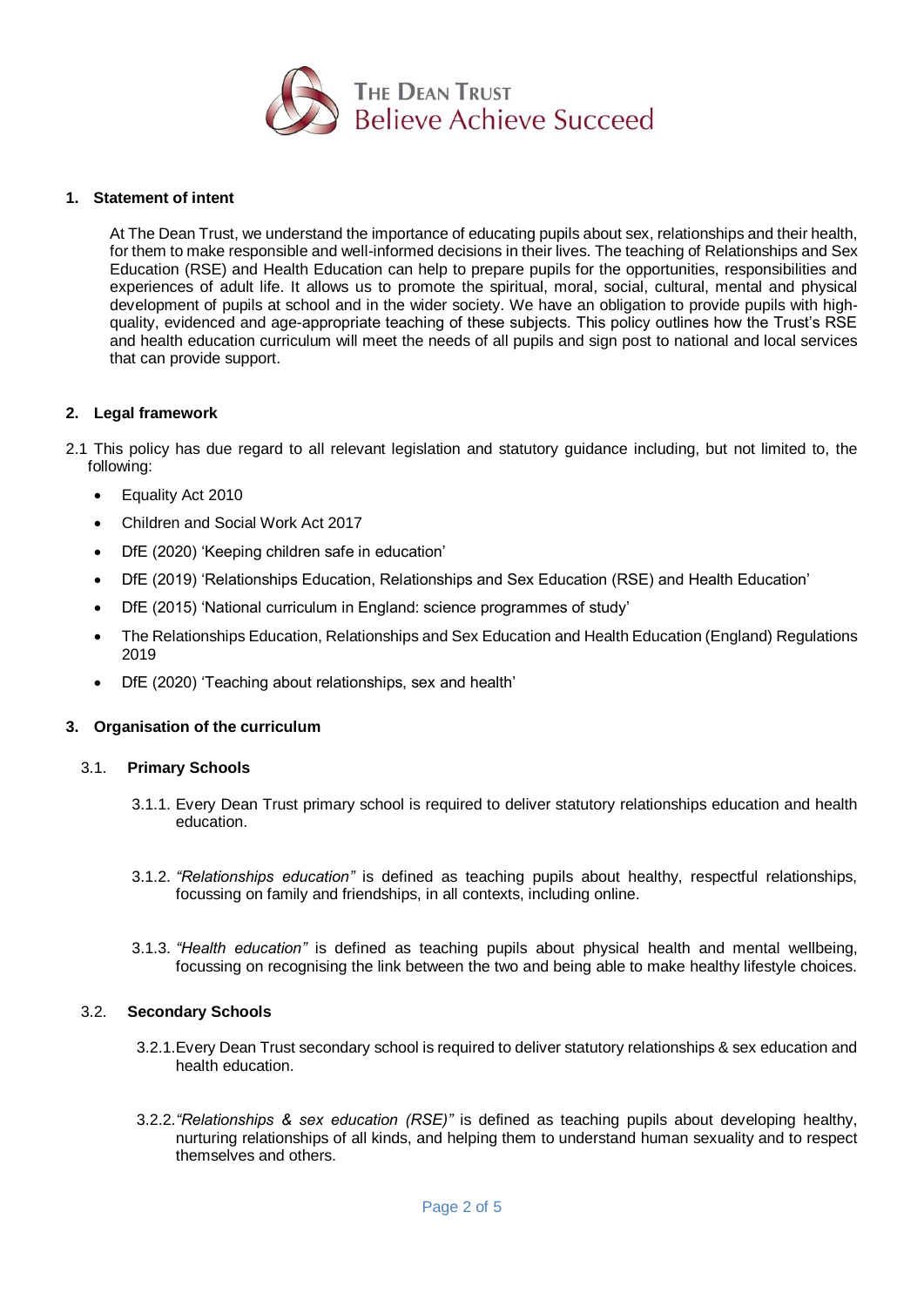

## <span id="page-1-0"></span>**1. Statement of intent**

At The Dean Trust, we understand the importance of educating pupils about sex, relationships and their health, for them to make responsible and well-informed decisions in their lives. The teaching of Relationships and Sex Education (RSE) and Health Education can help to prepare pupils for the opportunities, responsibilities and experiences of adult life. It allows us to promote the spiritual, moral, social, cultural, mental and physical development of pupils at school and in the wider society. We have an obligation to provide pupils with highquality, evidenced and age-appropriate teaching of these subjects. This policy outlines how the Trust's RSE and health education curriculum will meet the needs of all pupils and sign post to national and local services that can provide support.

## <span id="page-1-1"></span>**2. Legal framework**

- 2.1 This policy has due regard to all relevant legislation and statutory guidance including, but not limited to, the following:
	- Equality Act 2010
	- Children and Social Work Act 2017
	- DfE (2020) 'Keeping children safe in education'
	- DfE (2019) 'Relationships Education, Relationships and Sex Education (RSE) and Health Education'
	- DfE (2015) 'National curriculum in England: science programmes of study'
	- The Relationships Education, Relationships and Sex Education and Health Education (England) Regulations 2019
	- DfE (2020) 'Teaching about relationships, sex and health'

# <span id="page-1-2"></span>**3. Organisation of the curriculum**

# <span id="page-1-3"></span>3.1. **Primary Schools**

- 3.1.1. Every Dean Trust primary school is required to deliver statutory relationships education and health education.
- 3.1.2. *"Relationships education"* is defined as teaching pupils about healthy, respectful relationships, focussing on family and friendships, in all contexts, including online.
- 3.1.3. *"Health education"* is defined as teaching pupils about physical health and mental wellbeing, focussing on recognising the link between the two and being able to make healthy lifestyle choices.

#### <span id="page-1-4"></span>3.2. **Secondary Schools**

- 3.2.1.Every Dean Trust secondary school is required to deliver statutory relationships & sex education and health education.
- 3.2.2.*"Relationships & sex education (RSE)"* is defined as teaching pupils about developing healthy, nurturing relationships of all kinds, and helping them to understand human sexuality and to respect themselves and others.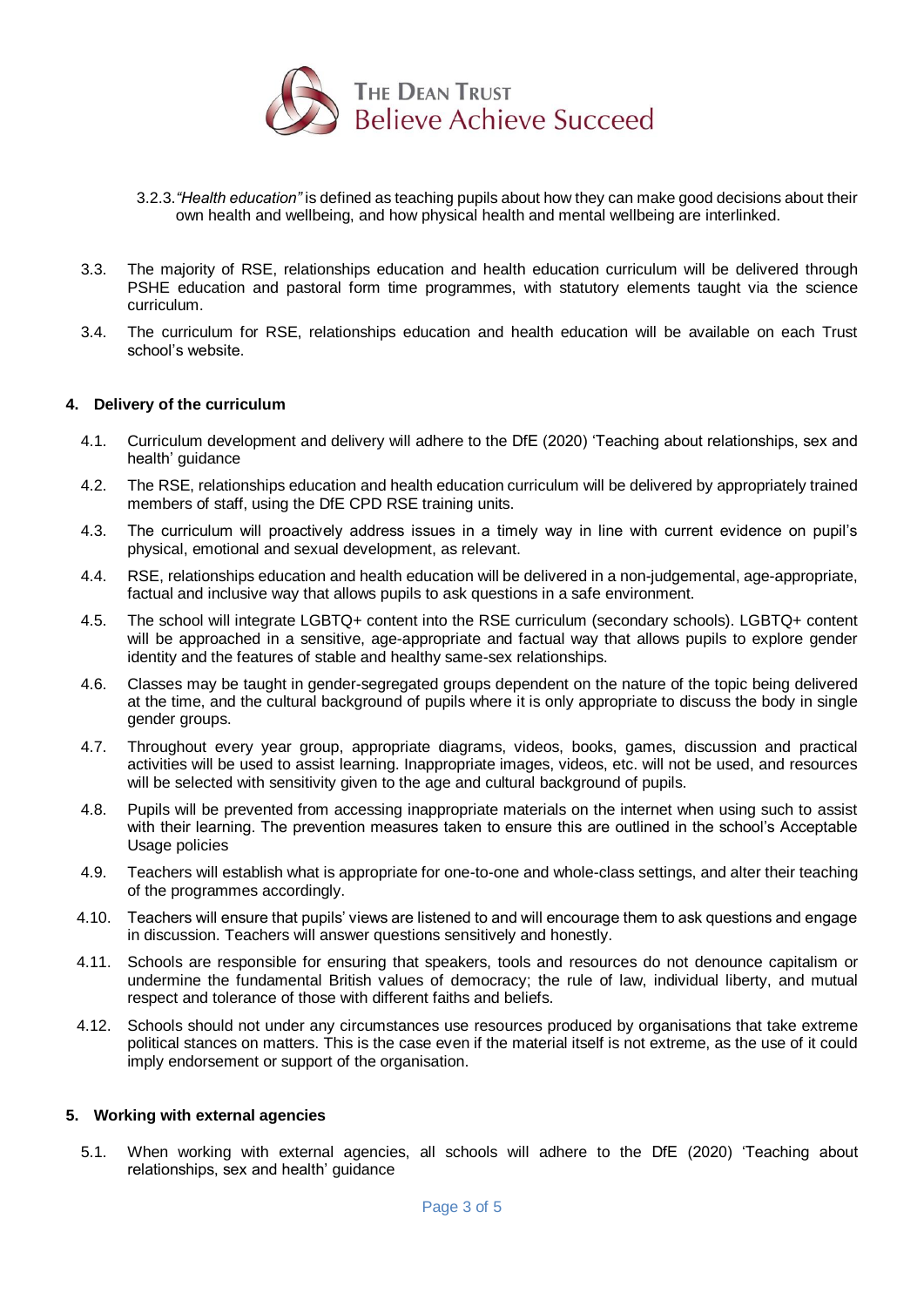

- 3.2.3.*"Health education"* is defined as teaching pupils about how they can make good decisions about their own health and wellbeing, and how physical health and mental wellbeing are interlinked.
- 3.3. The majority of RSE, relationships education and health education curriculum will be delivered through PSHE education and pastoral form time programmes, with statutory elements taught via the science curriculum.
- 3.4. The curriculum for RSE, relationships education and health education will be available on each Trust school's website.

## <span id="page-2-0"></span>**4. Delivery of the curriculum**

- 4.1. Curriculum development and delivery will adhere to the DfE (2020) 'Teaching about relationships, sex and health' guidance
- 4.2. The RSE, relationships education and health education curriculum will be delivered by appropriately trained members of staff, using the DfE CPD RSE training units.
- 4.3. The curriculum will proactively address issues in a timely way in line with current evidence on pupil's physical, emotional and sexual development, as relevant.
- 4.4. RSE, relationships education and health education will be delivered in a non-judgemental, age-appropriate, factual and inclusive way that allows pupils to ask questions in a safe environment.
- 4.5. The school will integrate LGBTQ+ content into the RSE curriculum (secondary schools). LGBTQ+ content will be approached in a sensitive, age-appropriate and factual way that allows pupils to explore gender identity and the features of stable and healthy same-sex relationships.
- 4.6. Classes may be taught in gender-segregated groups dependent on the nature of the topic being delivered at the time, and the cultural background of pupils where it is only appropriate to discuss the body in single gender groups.
- 4.7. Throughout every year group, appropriate diagrams, videos, books, games, discussion and practical activities will be used to assist learning. Inappropriate images, videos, etc. will not be used, and resources will be selected with sensitivity given to the age and cultural background of pupils.
- 4.8. Pupils will be prevented from accessing inappropriate materials on the internet when using such to assist with their learning. The prevention measures taken to ensure this are outlined in the school's Acceptable Usage policies
- 4.9. Teachers will establish what is appropriate for one-to-one and whole-class settings, and alter their teaching of the programmes accordingly.
- 4.10. Teachers will ensure that pupils' views are listened to and will encourage them to ask questions and engage in discussion. Teachers will answer questions sensitively and honestly.
- 4.11. Schools are responsible for ensuring that speakers, tools and resources do not denounce capitalism or undermine the fundamental British values of democracy; the rule of law, individual liberty, and mutual respect and tolerance of those with different faiths and beliefs.
- 4.12. Schools should not under any circumstances use resources produced by organisations that take extreme political stances on matters. This is the case even if the material itself is not extreme, as the use of it could imply endorsement or support of the organisation.

#### <span id="page-2-1"></span>**5. Working with external agencies**

5.1. When working with external agencies, all schools will adhere to the DfE (2020) 'Teaching about relationships, sex and health' guidance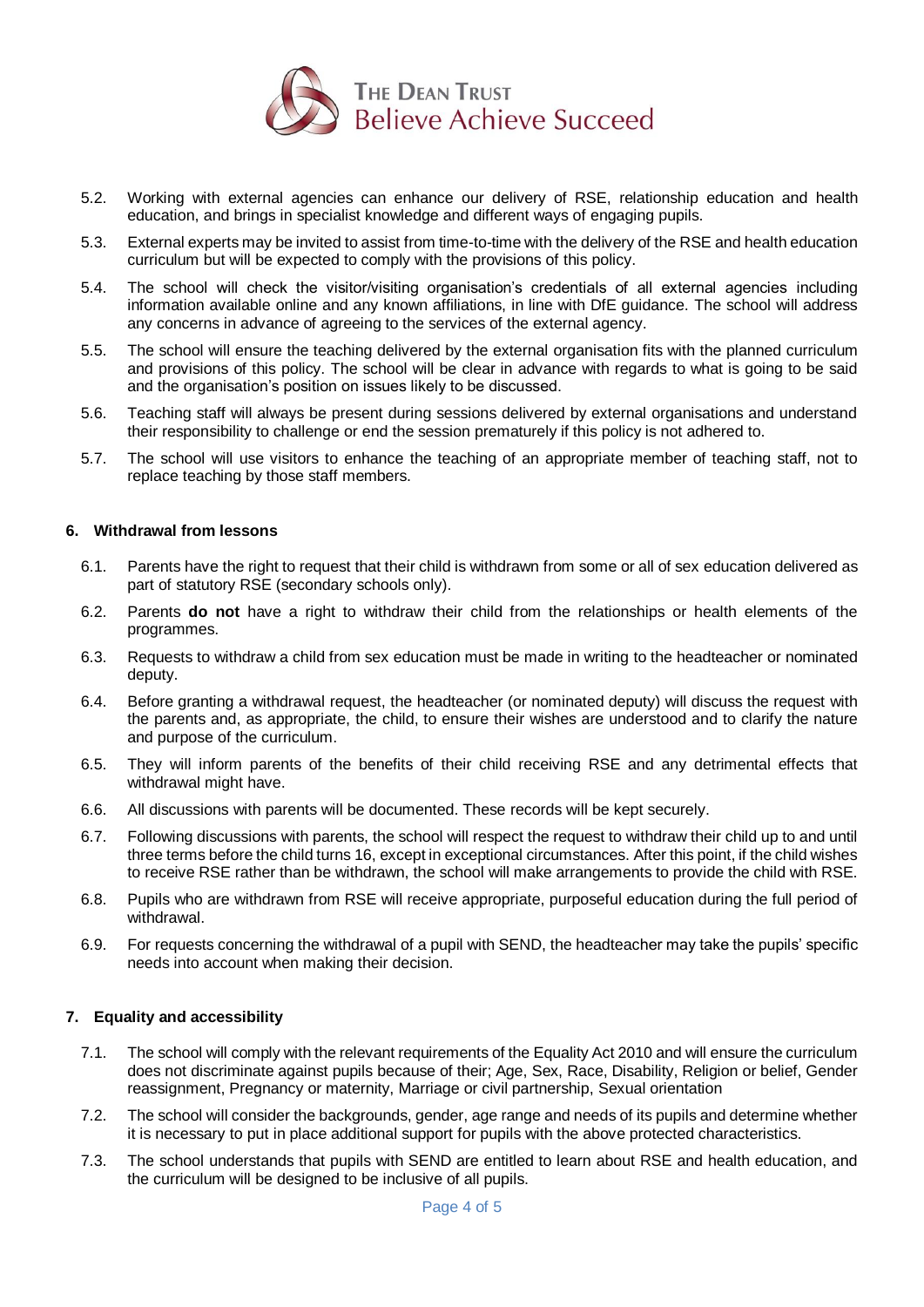

- 5.2. Working with external agencies can enhance our delivery of RSE, relationship education and health education, and brings in specialist knowledge and different ways of engaging pupils.
- 5.3. External experts may be invited to assist from time-to-time with the delivery of the RSE and health education curriculum but will be expected to comply with the provisions of this policy.
- 5.4. The school will check the visitor/visiting organisation's credentials of all external agencies including information available online and any known affiliations, in line with DfE guidance. The school will address any concerns in advance of agreeing to the services of the external agency.
- 5.5. The school will ensure the teaching delivered by the external organisation fits with the planned curriculum and provisions of this policy. The school will be clear in advance with regards to what is going to be said and the organisation's position on issues likely to be discussed.
- 5.6. Teaching staff will always be present during sessions delivered by external organisations and understand their responsibility to challenge or end the session prematurely if this policy is not adhered to.
- 5.7. The school will use visitors to enhance the teaching of an appropriate member of teaching staff, not to replace teaching by those staff members.

# <span id="page-3-0"></span>**6. Withdrawal from lessons**

- 6.1. Parents have the right to request that their child is withdrawn from some or all of sex education delivered as part of statutory RSE (secondary schools only).
- 6.2. Parents **do not** have a right to withdraw their child from the relationships or health elements of the programmes.
- 6.3. Requests to withdraw a child from sex education must be made in writing to the headteacher or nominated deputy.
- 6.4. Before granting a withdrawal request, the headteacher (or nominated deputy) will discuss the request with the parents and, as appropriate, the child, to ensure their wishes are understood and to clarify the nature and purpose of the curriculum.
- 6.5. They will inform parents of the benefits of their child receiving RSE and any detrimental effects that withdrawal might have.
- 6.6. All discussions with parents will be documented. These records will be kept securely.
- 6.7. Following discussions with parents, the school will respect the request to withdraw their child up to and until three terms before the child turns 16, except in exceptional circumstances. After this point, if the child wishes to receive RSE rather than be withdrawn, the school will make arrangements to provide the child with RSE.
- 6.8. Pupils who are withdrawn from RSE will receive appropriate, purposeful education during the full period of withdrawal.
- 6.9. For requests concerning the withdrawal of a pupil with SEND, the headteacher may take the pupils' specific needs into account when making their decision.

# <span id="page-3-1"></span>**7. Equality and accessibility**

- 7.1. The school will comply with the relevant requirements of the Equality Act 2010 and will ensure the curriculum does not discriminate against pupils because of their; Age, Sex, Race, Disability, Religion or belief, Gender reassignment, Pregnancy or maternity, Marriage or civil partnership, Sexual orientation
- 7.2. The school will consider the backgrounds, gender, age range and needs of its pupils and determine whether it is necessary to put in place additional support for pupils with the above protected characteristics.
- 7.3. The school understands that pupils with SEND are entitled to learn about RSE and health education, and the curriculum will be designed to be inclusive of all pupils.